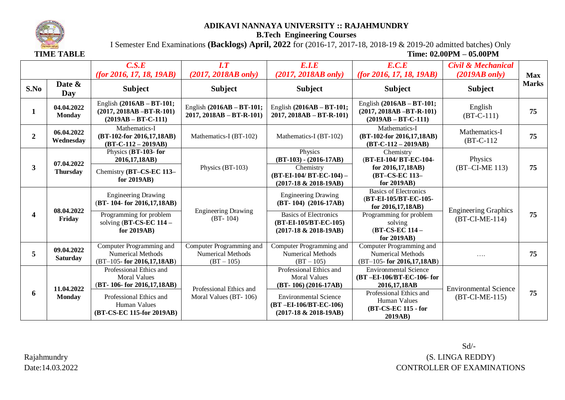

## **ADIKAVI NANNAYA UNIVERSITY :: RAJAHMUNDRY**

**B.Tech Engineering Courses**

I Semester End Examinations **(Backlogs) April, 2022** for (2016-17, 2017-18, 2018-19 & 2019-20 admitted batches) Only

**TIME TABLE** TABLE **TIME TABLE TIME TEMPLE TIME TEMPLE TIME TEMPLE TEMPLE** 

|              |                               | C.S.E<br>(for 2016, 17, 18, 19AB)                                                                                                                   | $\overline{I}$ . $\overline{T}$<br>$(2017, 2018AB \text{ only})$     | E.I.E<br>$(2017, 2018AB \text{ only})$                                                                                                                        | E.C.E<br>(for 2016, 17, 18, 19AB)                                                                                                                     | <b>Civil &amp; Mechanical</b><br>$(2019AB)$ only) | <b>Max</b>   |
|--------------|-------------------------------|-----------------------------------------------------------------------------------------------------------------------------------------------------|----------------------------------------------------------------------|---------------------------------------------------------------------------------------------------------------------------------------------------------------|-------------------------------------------------------------------------------------------------------------------------------------------------------|---------------------------------------------------|--------------|
| S.No         | Date &<br>Day                 | <b>Subject</b>                                                                                                                                      | <b>Subject</b>                                                       | <b>Subject</b>                                                                                                                                                | <b>Subject</b>                                                                                                                                        | <b>Subject</b>                                    | <b>Marks</b> |
| 1            | 04.04.2022<br><b>Monday</b>   | English (2016AB - BT-101;<br>$(2017, 2018AB - BT-R-101)$<br>$(2019AB - BT-C-111)$                                                                   | English (2016AB - BT-101;<br>$2017, 2018AB - BT-R-101$               | English (2016AB - BT-101;<br>$2017, 2018AB - BT-R-101$                                                                                                        | English $(2016AB - BT-101;$<br>$(2017, 2018AB - BT-R-101)$<br>$(2019AB - BT-C-111)$                                                                   | English<br>$(BT-C-111)$                           | 75           |
| $\mathbf{2}$ | 06.04.2022<br>Wednesday       | Mathematics-I<br>(BT-102-for 2016,17,18AB)<br>$(BT-C-112-2019AB)$                                                                                   | Mathematics-I (BT-102)                                               | Mathematics-I (BT-102)                                                                                                                                        | Mathematics-I<br>(BT-102-for 2016,17,18AB)<br>$(BT-C-112-2019AB)$                                                                                     | Mathematics-I<br>$(BT-C-112)$                     | 75           |
| $\mathbf{3}$ | 07.04.2022<br><b>Thursday</b> | Physics (BT-103- for<br>2016, 17, 18AB)<br>Chemistry (BT-CS-EC 113-<br>for 2019AB)                                                                  | Physics (BT-103)                                                     | Physics<br>$(BT-103) - (2016-17AB)$<br>Chemistry<br>(BT-EI-104/ BT-EC-104) -<br>$(2017-18 \& 2018-19AB)$                                                      | Chemistry<br>(BT-EI-104/ BT-EC-104-<br>for 2016,17,18AB)<br>(BT-CS-EC 113-<br>for 2019AB)                                                             | Physics<br>(BT-CI-ME 113)                         | 75           |
| 4            | 08.04.2022<br>Friday          | <b>Engineering Drawing</b><br>(BT-104-for 2016,17,18AB)<br>Programming for problem<br>solving $(BT-CS-EC 114-$<br>for 2019AB)                       | <b>Engineering Drawing</b><br>$(BT - 104)$                           | <b>Engineering Drawing</b><br>(BT-104) (2016-17AB)<br><b>Basics of Electronics</b><br>(BT-EI-105/BT-EC-105)<br>$(2017-18 \& 2018-19AB)$                       | <b>Basics of Electronics</b><br>(BT-EI-105/BT-EC-105-<br>for 2016,17,18AB)<br>Programming for problem<br>solving<br>(BT-CS-EC 114 -<br>for $2019AB$ ) | <b>Engineering Graphics</b><br>$(BT-CI-ME-114)$   | 75           |
| 5            | 09.04.2022<br><b>Saturday</b> | Computer Programming and<br><b>Numerical Methods</b><br>$(BT-105$ - for 2016,17,18AB)                                                               | Computer Programming and<br><b>Numerical Methods</b><br>$(BT - 105)$ | Computer Programming and<br><b>Numerical Methods</b><br>$(BT - 105)$                                                                                          | Computer Programming and<br><b>Numerical Methods</b><br>$(BT-105$ - for 2016,17,18AB)                                                                 | .                                                 | 75           |
| 6            | 11.04.2022<br><b>Monday</b>   | Professional Ethics and<br><b>Moral Values</b><br>(BT-106-for 2016,17,18AB)<br>Professional Ethics and<br>Human Values<br>(BT-CS-EC 115-for 2019AB) | Professional Ethics and<br>Moral Values (BT-106)                     | Professional Ethics and<br><b>Moral Values</b><br>$(BT-106)$ (2016-17AB)<br><b>Environmental Science</b><br>(BT-EI-106/BT-EC-106)<br>$(2017-18 \& 2018-19AB)$ | <b>Environmental Science</b><br>(BT-EI-106/BT-EC-106-for<br>2016,17,18AB<br>Professional Ethics and<br>Human Values<br>(BT-CS-EC 115 - for<br>2019AB) | <b>Environmental Science</b><br>$(BT-CI-ME-115)$  | 75           |